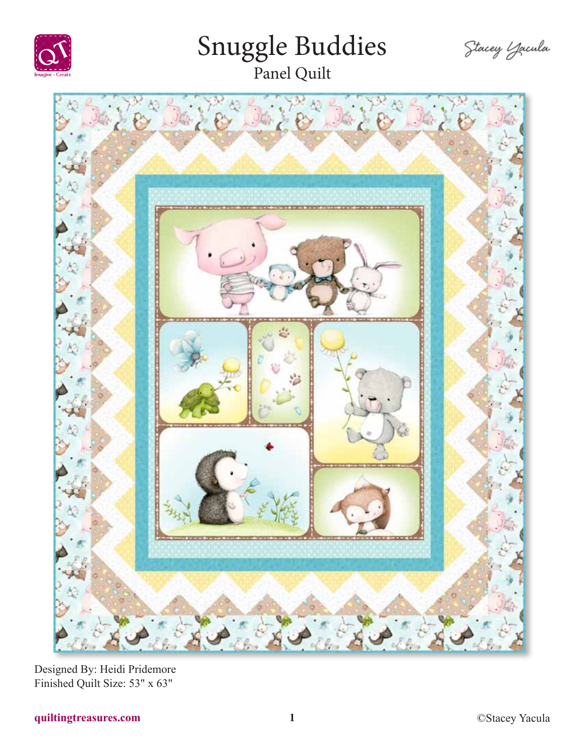

# Snuggle Buddies

Stacey Zacula



Designed By: Heidi Pridemore Finished Quilt Size: 53" x 63"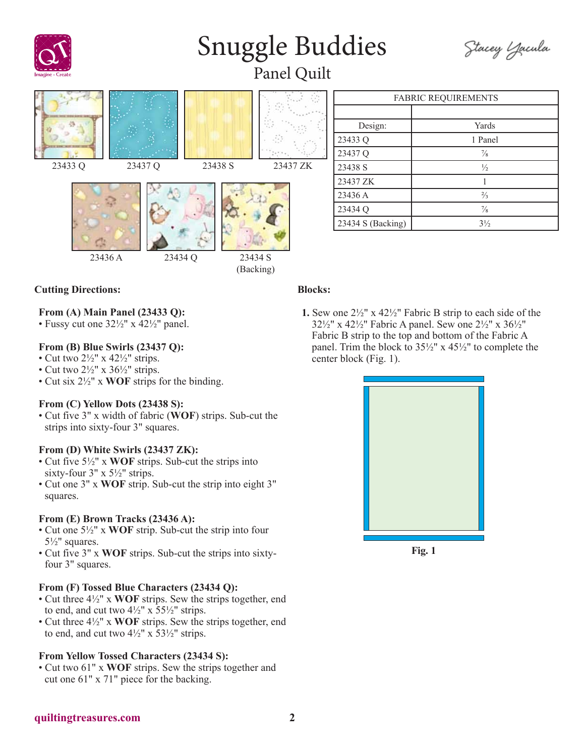

## Snuggle Buddies



Panel Quilt











| <b>FABRIC REQUIREMENTS</b> |                |
|----------------------------|----------------|
|                            |                |
| Design:                    | Yards          |
| 23433 Q                    | 1 Panel        |
| 23437 Q                    | $\frac{7}{8}$  |
| 23438 S                    | $\frac{1}{2}$  |
| 23437 ZK                   |                |
| 23436 A                    | $\frac{2}{3}$  |
| 23434 Q                    | $\frac{7}{8}$  |
| 23434 S (Backing)          | $3\frac{1}{2}$ |

#### **Cutting Directions:**

#### **From (A) Main Panel (23433 Q):**

• Fussy cut one 32½" x 42½" panel.

#### **From (B) Blue Swirls (23437 Q):**

- Cut two  $2\frac{1}{2}$ " x  $42\frac{1}{2}$ " strips.
- Cut two  $2\frac{1}{2}$ " x  $36\frac{1}{2}$ " strips.
- Cut six 2½" x **WOF** strips for the binding.

#### **From (C) Yellow Dots (23438 S):**

• Cut five 3" x width of fabric (**WOF**) strips. Sub-cut the strips into sixty-four 3" squares.

#### **From (D) White Swirls (23437 ZK):**

- Cut five 5½" x **WOF** strips. Sub-cut the strips into sixty-four 3" x 5½" strips.
- Cut one 3" x **WOF** strip. Sub-cut the strip into eight 3" squares.

#### **From (E) Brown Tracks (23436 A):**

- Cut one 5½" x **WOF** strip. Sub-cut the strip into four 5½" squares.
- Cut five 3" x **WOF** strips. Sub-cut the strips into sixtyfour 3" squares.

#### **From (F) Tossed Blue Characters (23434 Q):**

- Cut three 4½" x **WOF** strips. Sew the strips together, end to end, and cut two  $4\frac{1}{2}$ " x  $55\frac{1}{2}$ " strips.
- Cut three 4½" x **WOF** strips. Sew the strips together, end to end, and cut two  $4\frac{1}{2}$ " x  $53\frac{1}{2}$ " strips.

#### **From Yellow Tossed Characters (23434 S):**

• Cut two 61" x **WOF** strips. Sew the strips together and cut one 61" x 71" piece for the backing.

#### **Blocks:**

**1.** Sew one 2½" x 42½" Fabric B strip to each side of the 32½" x 42½" Fabric A panel. Sew one 2½" x 36½" Fabric B strip to the top and bottom of the Fabric A panel. Trim the block to 35½" x 45½" to complete the center block (Fig. 1).



**Fig. 1**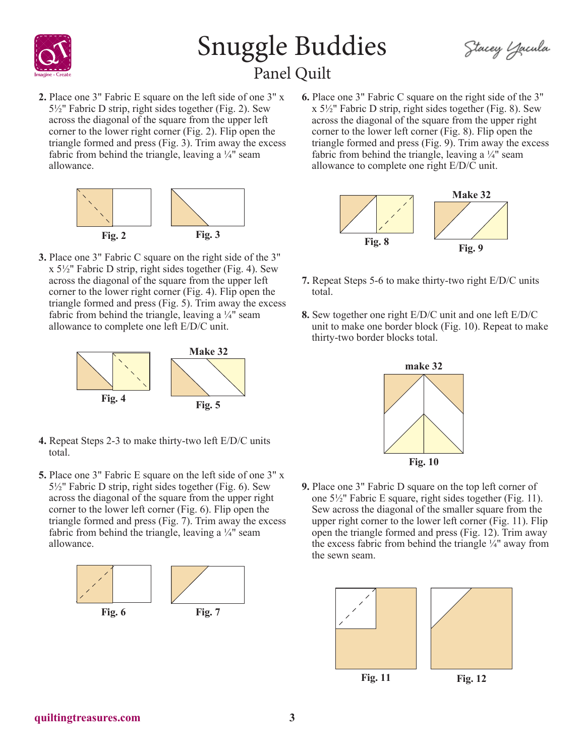

### Snuggle Buddies Panel Quilt

Stacey Zacula

**2.** Place one 3" Fabric E square on the left side of one 3" x 5½" Fabric D strip, right sides together (Fig. 2). Sew across the diagonal of the square from the upper left corner to the lower right corner (Fig. 2). Flip open the triangle formed and press (Fig. 3). Trim away the excess fabric from behind the triangle, leaving a  $\frac{1}{4}$ " seam allowance.



**3.** Place one 3" Fabric C square on the right side of the 3"  $x 5\frac{1}{2}$ " Fabric D strip, right sides together (Fig. 4). Sew across the diagonal of the square from the upper left corner to the lower right corner (Fig. 4). Flip open the triangle formed and press (Fig. 5). Trim away the excess fabric from behind the triangle, leaving a  $\frac{1}{4}$  seam allowance to complete one left E/D/C unit.



- **4.** Repeat Steps 2-3 to make thirty-two left E/D/C units total.
- **5.** Place one 3" Fabric E square on the left side of one 3" x 5½" Fabric D strip, right sides together (Fig. 6). Sew across the diagonal of the square from the upper right corner to the lower left corner (Fig. 6). Flip open the triangle formed and press (Fig. 7). Trim away the excess fabric from behind the triangle, leaving a  $\frac{1}{4}$ " seam allowance.



**6.** Place one 3" Fabric C square on the right side of the 3" x 5½" Fabric D strip, right sides together (Fig. 8). Sew across the diagonal of the square from the upper right corner to the lower left corner (Fig. 8). Flip open the triangle formed and press (Fig. 9). Trim away the excess fabric from behind the triangle, leaving a  $\frac{1}{4}$ " seam allowance to complete one right E/D/C unit.



- **7.** Repeat Steps 5-6 to make thirty-two right E/D/C units total.
- **8.** Sew together one right E/D/C unit and one left E/D/C unit to make one border block (Fig. 10). Repeat to make thirty-two border blocks total.



**9.** Place one 3" Fabric D square on the top left corner of one 5½" Fabric E square, right sides together (Fig. 11). Sew across the diagonal of the smaller square from the upper right corner to the lower left corner (Fig. 11). Flip open the triangle formed and press (Fig. 12). Trim away the excess fabric from behind the triangle ¼" away from the sewn seam.